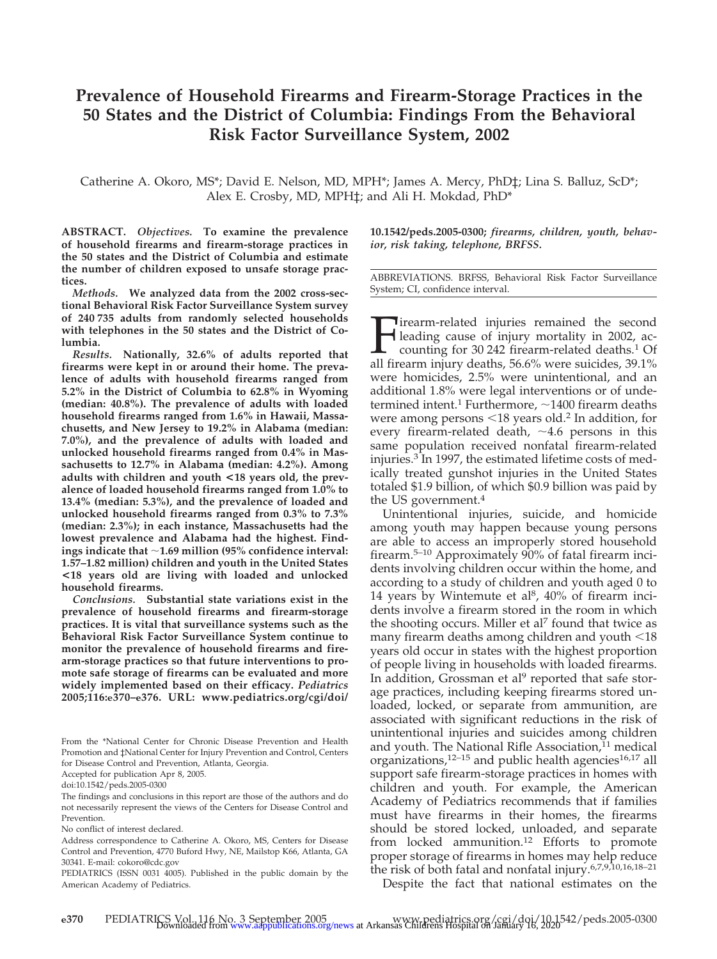## **Prevalence of Household Firearms and Firearm-Storage Practices in the 50 States and the District of Columbia: Findings From the Behavioral Risk Factor Surveillance System, 2002**

Catherine A. Okoro, MS\*; David E. Nelson, MD, MPH\*; James A. Mercy, PhD‡; Lina S. Balluz, ScD\*; Alex E. Crosby, MD, MPH‡; and Ali H. Mokdad, PhD\*

**ABSTRACT.** *Objectives.* **To examine the prevalence of household firearms and firearm-storage practices in the 50 states and the District of Columbia and estimate the number of children exposed to unsafe storage practices.**

*Methods.* **We analyzed data from the 2002 cross-sectional Behavioral Risk Factor Surveillance System survey of 240 735 adults from randomly selected households with telephones in the 50 states and the District of Columbia.**

*Results.* **Nationally, 32.6% of adults reported that firearms were kept in or around their home. The prevalence of adults with household firearms ranged from 5.2% in the District of Columbia to 62.8% in Wyoming (median: 40.8%). The prevalence of adults with loaded household firearms ranged from 1.6% in Hawaii, Massachusetts, and New Jersey to 19.2% in Alabama (median: 7.0%), and the prevalence of adults with loaded and unlocked household firearms ranged from 0.4% in Massachusetts to 12.7% in Alabama (median: 4.2%). Among adults with children and youth <18 years old, the prevalence of loaded household firearms ranged from 1.0% to 13.4% (median: 5.3%), and the prevalence of loaded and unlocked household firearms ranged from 0.3% to 7.3% (median: 2.3%); in each instance, Massachusetts had the lowest prevalence and Alabama had the highest. Findings indicate that 1.69 million (95% confidence interval: 1.57–1.82 million) children and youth in the United States <18 years old are living with loaded and unlocked household firearms.**

*Conclusions.* **Substantial state variations exist in the prevalence of household firearms and firearm-storage practices. It is vital that surveillance systems such as the Behavioral Risk Factor Surveillance System continue to monitor the prevalence of household firearms and firearm-storage practices so that future interventions to promote safe storage of firearms can be evaluated and more widely implemented based on their efficacy.** *Pediatrics* **2005;116:e370–e376. URL: www.pediatrics.org/cgi/doi/**

From the \*National Center for Chronic Disease Prevention and Health Promotion and ‡National Center for Injury Prevention and Control, Centers for Disease Control and Prevention, Atlanta, Georgia.

Accepted for publication Apr 8, 2005.

doi:10.1542/peds.2005-0300

The findings and conclusions in this report are those of the authors and do not necessarily represent the views of the Centers for Disease Control and Prevention.

No conflict of interest declared.

Address correspondence to Catherine A. Okoro, MS, Centers for Disease Control and Prevention, 4770 Buford Hwy, NE, Mailstop K66, Atlanta, GA 30341. E-mail: cokoro@cdc.gov

PEDIATRICS (ISSN 0031 4005). Published in the public domain by the American Academy of Pediatrics.

**10.1542/peds.2005-0300;** *firearms, children, youth, behavior, risk taking, telephone, BRFSS.*

ABBREVIATIONS. BRFSS, Behavioral Risk Factor Surveillance System; CI, confidence interval.

Firearm-related injuries remained the second leading cause of injury mortality in 2002, accounting for 30 242 firearm-related deaths.<sup>1</sup> Of all firearm injury deaths, 56.6% were suicides, 39.1% were homicides, 2.5% were unintentional, and an additional 1.8% were legal interventions or of undetermined intent.<sup>1</sup> Furthermore,  $\sim$  1400 firearm deaths were among persons <18 years old.<sup>2</sup> In addition, for every firearm-related death,  $\sim$ 4.6 persons in this same population received nonfatal firearm-related injuries.3 In 1997, the estimated lifetime costs of medically treated gunshot injuries in the United States totaled \$1.9 billion, of which \$0.9 billion was paid by the US government.4

Unintentional injuries, suicide, and homicide among youth may happen because young persons are able to access an improperly stored household firearm.5–10 Approximately 90% of fatal firearm incidents involving children occur within the home, and according to a study of children and youth aged 0 to 14 years by Wintemute et al<sup>8</sup>,  $40\%$  of firearm incidents involve a firearm stored in the room in which the shooting occurs. Miller et al<sup>7</sup> found that twice as many firearm deaths among children and youth  $<$  18  $\,$ years old occur in states with the highest proportion of people living in households with loaded firearms. In addition, Grossman et al $9$  reported that safe storage practices, including keeping firearms stored unloaded, locked, or separate from ammunition, are associated with significant reductions in the risk of unintentional injuries and suicides among children and youth. The National Rifle Association, $11$  medical organizations, $12-15$  and public health agencies $16,17$  all support safe firearm-storage practices in homes with children and youth. For example, the American Academy of Pediatrics recommends that if families must have firearms in their homes, the firearms should be stored locked, unloaded, and separate from locked ammunition.12 Efforts to promote proper storage of firearms in homes may help reduce the risk of both fatal and nonfatal injury.6,7,9,10,16,18–21

Despite the fact that national estimates on the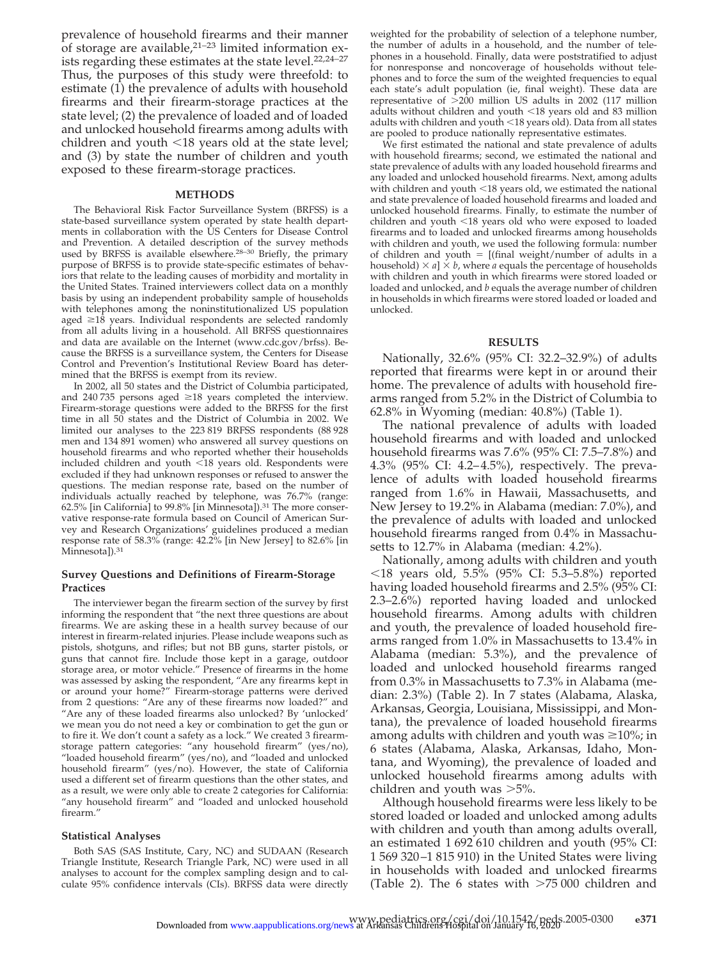prevalence of household firearms and their manner of storage are available, $2^{1-23}$  limited information exists regarding these estimates at the state level.<sup>22,24-27</sup> Thus, the purposes of this study were threefold: to estimate (1) the prevalence of adults with household firearms and their firearm-storage practices at the state level; (2) the prevalence of loaded and of loaded and unlocked household firearms among adults with children and youth <18 years old at the state level; and (3) by state the number of children and youth exposed to these firearm-storage practices.

#### **METHODS**

The Behavioral Risk Factor Surveillance System (BRFSS) is a state-based surveillance system operated by state health departments in collaboration with the US Centers for Disease Control and Prevention. A detailed description of the survey methods used by BRFSS is available elsewhere.28–30 Briefly, the primary purpose of BRFSS is to provide state-specific estimates of behaviors that relate to the leading causes of morbidity and mortality in the United States. Trained interviewers collect data on a monthly basis by using an independent probability sample of households with telephones among the noninstitutionalized US population aged  $\geq 18$  years. Individual respondents are selected randomly from all adults living in a household. All BRFSS questionnaires and data are available on the Internet (www.cdc.gov/brfss). Because the BRFSS is a surveillance system, the Centers for Disease Control and Prevention's Institutional Review Board has determined that the BRFSS is exempt from its review.

In 2002, all 50 states and the District of Columbia participated, and 240 735 persons aged  $\geq$ 18 years completed the interview. Firearm-storage questions were added to the BRFSS for the first time in all 50 states and the District of Columbia in 2002. We limited our analyses to the 223 819 BRFSS respondents (88 928 men and 134 891 women) who answered all survey questions on household firearms and who reported whether their households included children and youth -18 years old. Respondents were excluded if they had unknown responses or refused to answer the questions. The median response rate, based on the number of individuals actually reached by telephone, was 76.7% (range: 62.5% [in California] to 99.8% [in Minnesota]).31 The more conservative response-rate formula based on Council of American Survey and Research Organizations' guidelines produced a median response rate of 58.3% (range: 42.2% [in New Jersey] to 82.6% [in Minnesota]).<sup>31</sup>

#### **Survey Questions and Definitions of Firearm-Storage Practices**

The interviewer began the firearm section of the survey by first informing the respondent that "the next three questions are about firearms. We are asking these in a health survey because of our interest in firearm-related injuries. Please include weapons such as pistols, shotguns, and rifles; but not BB guns, starter pistols, or guns that cannot fire. Include those kept in a garage, outdoor storage area, or motor vehicle." Presence of firearms in the home was assessed by asking the respondent, "Are any firearms kept in or around your home?" Firearm-storage patterns were derived from 2 questions: "Are any of these firearms now loaded?" and "Are any of these loaded firearms also unlocked? By 'unlocked' we mean you do not need a key or combination to get the gun or to fire it. We don't count a safety as a lock." We created 3 firearmstorage pattern categories: "any household firearm" (yes/no), "loaded household firearm" (yes/no), and "loaded and unlocked household firearm" (yes/no). However, the state of California used a different set of firearm questions than the other states, and as a result, we were only able to create 2 categories for California: "any household firearm" and "loaded and unlocked household firearm."

#### **Statistical Analyses**

Both SAS (SAS Institute, Cary, NC) and SUDAAN (Research Triangle Institute, Research Triangle Park, NC) were used in all analyses to account for the complex sampling design and to calculate 95% confidence intervals (CIs). BRFSS data were directly weighted for the probability of selection of a telephone number, the number of adults in a household, and the number of telephones in a household. Finally, data were poststratified to adjust for nonresponse and noncoverage of households without telephones and to force the sum of the weighted frequencies to equal each state's adult population (ie, final weight). These data are representative of  $>200$  million US adults in 2002 (117 million adults without children and youth <18 years old and 83 million adults with children and youth -18 years old). Data from all states are pooled to produce nationally representative estimates.

We first estimated the national and state prevalence of adults with household firearms; second, we estimated the national and state prevalence of adults with any loaded household firearms and any loaded and unlocked household firearms. Next, among adults with children and youth  $\leq$ 18 years old, we estimated the national and state prevalence of loaded household firearms and loaded and unlocked household firearms. Finally, to estimate the number of children and youth -18 years old who were exposed to loaded firearms and to loaded and unlocked firearms among households with children and youth, we used the following formula: number of children and youth  $=$  [(final weight/number of adults in a household)  $\times a$ ]  $\times b$ , where *a* equals the percentage of households with children and youth in which firearms were stored loaded or loaded and unlocked, and *b* equals the average number of children in households in which firearms were stored loaded or loaded and unlocked.

#### **RESULTS**

Nationally, 32.6% (95% CI: 32.2–32.9%) of adults reported that firearms were kept in or around their home. The prevalence of adults with household firearms ranged from 5.2% in the District of Columbia to 62.8% in Wyoming (median: 40.8%) (Table 1).

The national prevalence of adults with loaded household firearms and with loaded and unlocked household firearms was 7.6% (95% CI: 7.5–7.8%) and 4.3% (95% CI: 4.2– 4.5%), respectively. The prevalence of adults with loaded household firearms ranged from 1.6% in Hawaii, Massachusetts, and New Jersey to 19.2% in Alabama (median: 7.0%), and the prevalence of adults with loaded and unlocked household firearms ranged from 0.4% in Massachusetts to 12.7% in Alabama (median: 4.2%).

Nationally, among adults with children and youth -18 years old, 5.5% (95% CI: 5.3–5.8%) reported having loaded household firearms and 2.5% (95% CI: 2.3–2.6%) reported having loaded and unlocked household firearms. Among adults with children and youth, the prevalence of loaded household firearms ranged from 1.0% in Massachusetts to 13.4% in Alabama (median: 5.3%), and the prevalence of loaded and unlocked household firearms ranged from 0.3% in Massachusetts to 7.3% in Alabama (median: 2.3%) (Table 2). In 7 states (Alabama, Alaska, Arkansas, Georgia, Louisiana, Mississippi, and Montana), the prevalence of loaded household firearms among adults with children and youth was  $\geq 10\%$ ; in 6 states (Alabama, Alaska, Arkansas, Idaho, Montana, and Wyoming), the prevalence of loaded and unlocked household firearms among adults with children and youth was  $>5\%$ .

Although household firearms were less likely to be stored loaded or loaded and unlocked among adults with children and youth than among adults overall, an estimated 1 692 610 children and youth (95% CI: 1 569 320 –1 815 910) in the United States were living in households with loaded and unlocked firearms (Table 2). The 6 states with  $>75000$  children and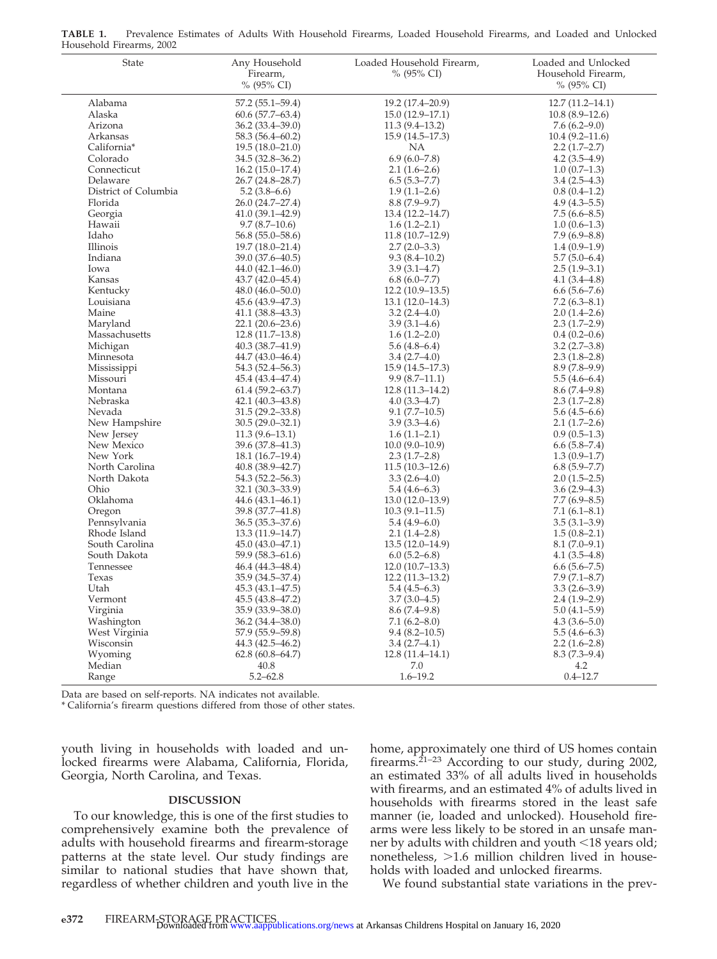| State                          | Any Household<br>Firearm,<br>% (95% CI) | Loaded Household Firearm,<br>% (95% CI) | Loaded and Unlocked<br>Household Firearm,<br>% (95% CI) |
|--------------------------------|-----------------------------------------|-----------------------------------------|---------------------------------------------------------|
| Alabama                        | $57.2(55.1 - 59.4)$                     | 19.2 (17.4-20.9)                        | $12.7(11.2 - 14.1)$                                     |
| Alaska                         | $60.6(57.7-63.4)$                       | $15.0(12.9-17.1)$                       | $10.8(8.9-12.6)$                                        |
| Arizona                        | $36.2(33.4 - 39.0)$                     | $11.3(9.4-13.2)$                        | $7.6(6.2 - 9.0)$                                        |
| Arkansas                       | 58.3 (56.4–60.2)                        | $15.9(14.5-17.3)$                       | $10.4(9.2 - 11.6)$                                      |
| California*                    | $19.5(18.0 - 21.0)$                     | NA                                      | $2.2(1.7-2.7)$                                          |
| Colorado                       | $34.5(32.8 - 36.2)$                     | $6.9(6.0 - 7.8)$                        | $4.2(3.5-4.9)$                                          |
| Connecticut                    | $16.2(15.0-17.4)$                       | $2.1(1.6-2.6)$                          | $1.0(0.7-1.3)$                                          |
| Delaware                       | 26.7 (24.8-28.7)                        | $6.5(5.3 - 7.7)$                        | $3.4(2.5-4.3)$                                          |
| District of Columbia           | $5.2(3.8-6.6)$                          | $1.9(1.1-2.6)$                          | $0.8(0.4-1.2)$                                          |
| Florida                        | 26.0 (24.7–27.4)                        | $8.8(7.9-9.7)$                          | $4.9(4.3 - 5.5)$                                        |
| Georgia                        | $41.0(39.1 - 42.9)$                     | 13.4 (12.2-14.7)                        | $7.5(6.6 - 8.5)$                                        |
| Hawaii                         | $9.7(8.7-10.6)$                         | $1.6(1.2 - 2.1)$                        | $1.0(0.6-1.3)$                                          |
| Idaho                          | $56.8(55.0 - 58.6)$                     | 11.8(10.7–12.9)                         | $7.9(6.9 - 8.8)$                                        |
| Illinois                       | $19.7(18.0 - 21.4)$                     | $2.7(2.0-3.3)$                          | $1.4(0.9-1.9)$                                          |
| Indiana                        | 39.0 (37.6-40.5)                        | $9.3(8.4 - 10.2)$                       | $5.7(5.0-6.4)$                                          |
| Iowa                           | $44.0(42.1 - 46.0)$                     | $3.9(3.1-4.7)$                          | $2.5(1.9-3.1)$                                          |
| Kansas                         | $43.7(42.0 - 45.4)$                     | 6.8(6.0–7.7)                            | $4.1(3.4 - 4.8)$                                        |
| Kentucky                       | $48.0(46.0 - 50.0)$                     | $12.2(10.9-13.5)$                       | $6.6(5.6 - 7.6)$                                        |
| Louisiana                      | 45.6 (43.9-47.3)                        | $13.1(12.0-14.3)$                       | $7.2(6.3 - 8.1)$                                        |
| Maine                          | $41.1(38.8-43.3)$                       | $3.2(2.4-4.0)$                          | $2.0(1.4-2.6)$                                          |
| Maryland                       | $22.1(20.6-23.6)$                       | $3.9(3.1-4.6)$                          | $2.3(1.7-2.9)$                                          |
| Massachusetts                  | $12.8(11.7-13.8)$                       | $1.6(1.2 - 2.0)$                        | $0.4(0.2-0.6)$                                          |
| Michigan                       | $40.3(38.7 - 41.9)$                     | $5.6(4.8-6.4)$                          | $3.2(2.7-3.8)$                                          |
| Minnesota                      | $44.7(43.0 - 46.4)$                     | $3.4(2.7-4.0)$                          | $2.3(1.8-2.8)$                                          |
| Mississippi                    | 54.3 (52.4–56.3)                        | $15.9(14.5-17.3)$                       | $8.9(7.8-9.9)$                                          |
| Missouri                       | $45.4(43.4 - 47.4)$                     | $9.9(8.7-11.1)$                         | $5.5(4.6-6.4)$                                          |
| Montana                        | $61.4(59.2 - 63.7)$                     | $12.8(11.3 - 14.2)$                     | 8.6(7.4–9.8)                                            |
| Nebraska                       | $42.1(40.3 - 43.8)$                     | $4.0(3.3-4.7)$                          | $2.3(1.7-2.8)$                                          |
| Nevada                         | $31.5(29.2 - 33.8)$                     | $9.1(7.7-10.5)$                         | $5.6(4.5-6.6)$                                          |
| New Hampshire                  | $30.5(29.0-32.1)$                       | $3.9(3.3-4.6)$                          | $2.1(1.7-2.6)$                                          |
| New Jersey                     | $11.3(9.6-13.1)$                        | $1.6(1.1-2.1)$                          | $0.9(0.5-1.3)$                                          |
| New Mexico                     | 39.6 (37.8-41.3)                        | $10.0(9.0-10.9)$                        | 6.6(5.8–7.4)                                            |
| New York                       | $18.1(16.7-19.4)$                       | $2.3(1.7-2.8)$                          | $1.3(0.9-1.7)$                                          |
| North Carolina                 | $40.8(38.9 - 42.7)$                     | $11.5(10.3-12.6)$                       | $6.8(5.9 - 7.7)$                                        |
| North Dakota                   | 54.3 (52.2–56.3)                        | $3.3(2.6-4.0)$                          | $2.0(1.5-2.5)$                                          |
| Ohio                           | $32.1(30.3 - 33.9)$                     | $5.4(4.6-6.3)$                          | $3.6(2.9-4.3)$                                          |
| Oklahoma                       | $44.6(43.1 - 46.1)$                     | $13.0(12.0-13.9)$                       | $7.7(6.9 - 8.5)$                                        |
| Oregon                         | 39.8 (37.7-41.8)                        | $10.3(9.1 - 11.5)$                      | $7.1(6.1 - 8.1)$                                        |
| Pennsylvania                   | $36.5(35.3 - 37.6)$                     | $5.4(4.9-6.0)$                          | $3.5(3.1-3.9)$                                          |
| Rhode Island                   | $13.3(11.9-14.7)$                       | $2.1(1.4-2.8)$                          | $1.5(0.8-2.1)$                                          |
| South Carolina<br>South Dakota | $45.0(43.0-47.1)$                       | $13.5(12.0-14.9)$                       | $8.1(7.0-9.1)$                                          |
| Tennessee                      | 59.9 (58.3-61.6)<br>$46.4(44.3 - 48.4)$ | $6.0(5.2 - 6.8)$<br>$12.0(10.7-13.3)$   | $4.1(3.5-4.8)$<br>$6.6(5.6 - 7.5)$                      |
| Texas                          | 35.9 (34.5-37.4)                        | $12.2(11.3-13.2)$                       | $7.9(7.1 - 8.7)$                                        |
| Utah                           | 45.3 (43.1-47.5)                        | $5.4(4.5-6.3)$                          | $3.3(2.6-3.9)$                                          |
| Vermont                        | 45.5 (43.8-47.2)                        | $3.7(3.0-4.5)$                          | $2.4(1.9-2.9)$                                          |
| Virginia                       | 35.9 (33.9-38.0)                        | $8.6(7.4-9.8)$                          | $5.0(4.1-5.9)$                                          |
| Washington                     | $36.2(34.4 - 38.0)$                     | $7.1(6.2 - 8.0)$                        | $4.3(3.6 - 5.0)$                                        |
| West Virginia                  | 57.9 (55.9-59.8)                        | $9.4(8.2 - 10.5)$                       | $5.5(4.6-6.3)$                                          |
| Wisconsin                      | 44.3 (42.5-46.2)                        | $3.4(2.7-4.1)$                          | $2.2(1.6-2.8)$                                          |
| Wyoming                        | $62.8(60.8 - 64.7)$                     | $12.8(11.4 - 14.1)$                     | $8.3(7.3-9.4)$                                          |
| Median                         | 40.8                                    | 7.0                                     | 4.2                                                     |
| Range                          | $5.2 - 62.8$                            | $1.6 - 19.2$                            | $0.4 - 12.7$                                            |

**TABLE 1.** Prevalence Estimates of Adults With Household Firearms, Loaded Household Firearms, and Loaded and Unlocked Household Firearms, 2002

Data are based on self-reports. NA indicates not available.

\* California's firearm questions differed from those of other states.

youth living in households with loaded and unlocked firearms were Alabama, California, Florida, Georgia, North Carolina, and Texas.

#### **DISCUSSION**

To our knowledge, this is one of the first studies to comprehensively examine both the prevalence of adults with household firearms and firearm-storage patterns at the state level. Our study findings are similar to national studies that have shown that, regardless of whether children and youth live in the home, approximately one third of US homes contain firearms.<sup>21-23</sup> According to our study, during 2002, an estimated 33% of all adults lived in households with firearms, and an estimated 4% of adults lived in households with firearms stored in the least safe manner (ie, loaded and unlocked). Household firearms were less likely to be stored in an unsafe manner by adults with children and youth  $<$ 18 years old; nonetheless,  $>1.6$  million children lived in households with loaded and unlocked firearms.

We found substantial state variations in the prev-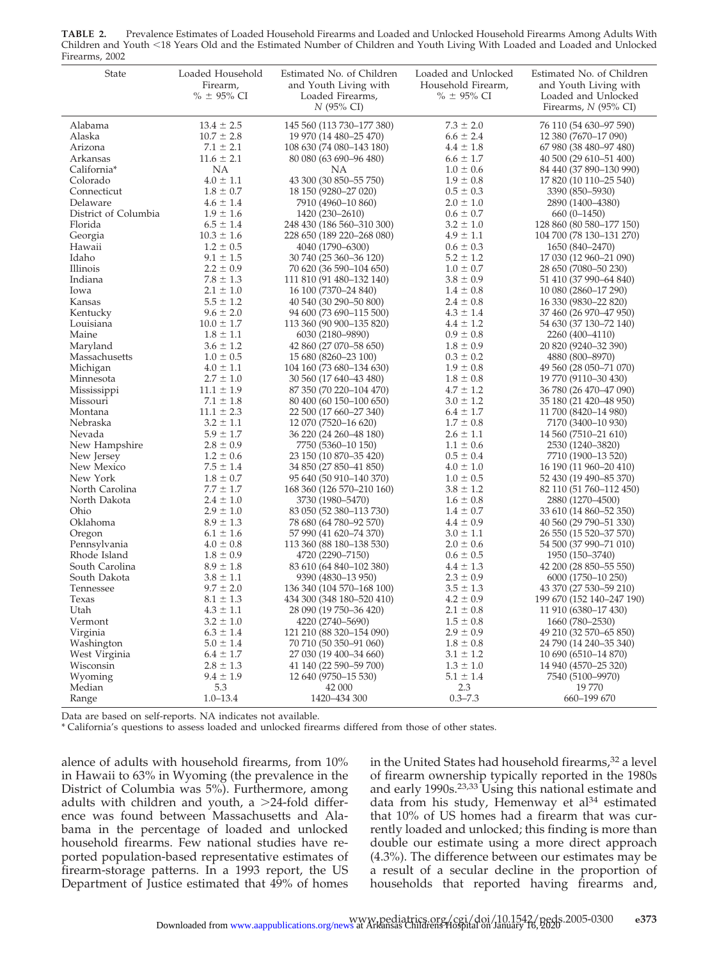| Firearms, 2002       |                                               |                                                                                        |                                                              |                                                                                                     |
|----------------------|-----------------------------------------------|----------------------------------------------------------------------------------------|--------------------------------------------------------------|-----------------------------------------------------------------------------------------------------|
| State                | Loaded Household<br>Firearm,<br>$% = 95\%$ CI | Estimated No. of Children<br>and Youth Living with<br>Loaded Firearms,<br>$N$ (95% CI) | Loaded and Unlocked<br>Household Firearm,<br>$% \pm 95\%$ CI | Estimated No. of Children<br>and Youth Living with<br>Loaded and Unlocked<br>Firearms, $N$ (95% CI) |
| Alabama              | $13.4 \pm 2.5$                                | 145 560 (113 730-177 380)                                                              | $7.3 \pm 2.0$                                                | 76 110 (54 630-97 590)                                                                              |
| Alaska               | $10.7 \pm 2.8$                                | 19 970 (14 480–25 470)                                                                 | $6.6 \pm 2.4$                                                | 12 380 (7670–17 090)                                                                                |
| Arizona              | $7.1 \pm 2.1$                                 | 108 630 (74 080–143 180)                                                               | $4.4 \pm 1.8$                                                | 67 980 (38 480-97 480)                                                                              |
| Arkansas             | $11.6 \pm 2.1$                                | 80 080 (63 690-96 480)                                                                 | $6.6 \pm 1.7$                                                | 40 500 (29 610 - 51 400)                                                                            |
| California*          | NA                                            | NA                                                                                     | $1.0 \pm 0.6$                                                | 84 440 (37 890–130 990)                                                                             |
| Colorado             | $4.0 \pm 1.1$                                 | 43 300 (30 850-55 750)                                                                 | $1.9 \pm 0.8$                                                | 17 820 (10 110–25 540)                                                                              |
| Connecticut          | $1.8 \pm 0.7$                                 | 18 150 (9280-27 020)                                                                   | $0.5 \pm 0.3$                                                | 3390 (850–5930)                                                                                     |
| Delaware             | $4.6 \pm 1.4$                                 | 7910 (4960–10 860)                                                                     | $2.0 \pm 1.0$                                                | 2890 (1400–4380)                                                                                    |
| District of Columbia | $1.9 \pm 1.6$                                 | 1420 (230–2610)                                                                        | $0.6 \pm 0.7$                                                | $660(0-1450)$                                                                                       |
| Florida              | $6.5 \pm 1.4$                                 | 248 430 (186 560-310 300)                                                              | $3.2 \pm 1.0$                                                | 128 860 (80 580–177 150)                                                                            |
| Georgia              | $10.3 \pm 1.6$                                | 228 650 (189 220–268 080)                                                              | $4.9 \pm 1.1$                                                | 104 700 (78 130–131 270)                                                                            |
| Hawaii               | $1.2 \pm 0.5$                                 | 4040 (1790–6300)                                                                       | $0.6 \pm 0.3$                                                | 1650 (840–2470)                                                                                     |
| Idaho                | $9.1 \pm 1.5$                                 | 30 740 (25 360 - 36 120)                                                               | $5.2 \pm 1.2$                                                | 17 030 (12 960–21 090)                                                                              |
| Illinois             | $2.2 \pm 0.9$                                 | 70 620 (36 590-104 650)                                                                | $1.0 \pm 0.7$                                                | 28 650 (7080–50 230)                                                                                |
| Indiana              | $7.8 \pm 1.3$                                 | 111 810 (91 480–132 140)                                                               | $3.8 \pm 0.9$                                                | 51 410 (37 990–64 840)                                                                              |
| Iowa                 | $2.1 \pm 1.0$                                 | 16 100 (7370–24 840)                                                                   | $1.4 \pm 0.8$                                                | 10 080 (2860–17 290)                                                                                |
| Kansas               | $5.5 \pm 1.2$                                 | 40 540 (30 290 - 50 800)                                                               | $2.4 \pm 0.8$                                                | 16 330 (9830–22 820)                                                                                |
| Kentucky             | $9.6 \pm 2.0$                                 | 94 600 (73 690-115 500)                                                                | $4.3 \pm 1.4$                                                | 37 460 (26 970–47 950)                                                                              |
| Louisiana            | $10.0 \pm 1.7$                                | 113 360 (90 900–135 820)                                                               | $4.4 \pm 1.2$                                                | 54 630 (37 130–72 140)                                                                              |
| Maine                | $1.8 \pm 1.1$                                 | 6030 (2180–9890)                                                                       | $0.9 \pm 0.8$                                                | 2260 (400-4110)                                                                                     |
| Maryland             | $3.6 \pm 1.2$                                 | 42 860 (27 070–58 650)                                                                 | $1.8 \pm 0.9$                                                | 20 820 (9240–32 390)                                                                                |
| Massachusetts        | $1.0 \pm 0.5$                                 | 15 680 (8260–23 100)                                                                   | $0.3 \pm 0.2$                                                | 4880 (800-8970)                                                                                     |
| Michigan             | $4.0 \pm 1.1$                                 | 104 160 (73 680–134 630)                                                               | $1.9 \pm 0.8$                                                | 49 560 (28 050-71 070)                                                                              |
| Minnesota            | $2.7 \pm 1.0$                                 | 30 560 (17 640–43 480)                                                                 | $1.8 \pm 0.8$                                                | 19 770 (9110–30 430)                                                                                |
| Mississippi          | $11.1 \pm 1.9$                                | 87 350 (70 220 - 104 470)                                                              | $4.7 \pm 1.2$                                                | 36 780 (26 470 - 47 090)                                                                            |
| Missouri             | $7.1 \pm 1.8$                                 | 80 400 (60 150 - 100 650)                                                              | $3.0 \pm 1.2$                                                | 35 180 (21 420 - 48 950)                                                                            |
| Montana              | $11.1 \pm 2.3$                                | 22 500 (17 660-27 340)                                                                 | $6.4 \pm 1.7$                                                | 11 700 (8420–14 980)                                                                                |
| Nebraska             | $3.2 \pm 1.1$                                 | 12 070 (7520-16 620)                                                                   | $1.7 \pm 0.8$                                                | 7170 (3400-10 930)                                                                                  |
| Nevada               | $5.9 \pm 1.7$                                 | 36 220 (24 260 - 48 180)                                                               | $2.6 \pm 1.1$                                                | 14 560 (7510-21 610)                                                                                |
| New Hampshire        | $2.8 \pm 0.9$                                 | 7750 (5360–10 150)                                                                     | $1.1 \pm 0.6$                                                | 2530 (1240–3820)                                                                                    |
| New Jersey           | $1.2 \pm 0.6$                                 | 23 150 (10 870–35 420)                                                                 | $0.5 \pm 0.4$                                                | 7710 (1900–13 520)                                                                                  |
| New Mexico           | $7.5 \pm 1.4$                                 | 34 850 (27 850–41 850)                                                                 | $4.0 \pm 1.0$                                                | 16 190 (11 960–20 410)                                                                              |
| New York             | $1.8 \pm 0.7$                                 | 95 640 (50 910 – 140 370)                                                              | $1.0 \pm 0.5$                                                | 52 430 (19 490–85 370)                                                                              |
| North Carolina       | $7.7 \pm 1.7$                                 | 168 360 (126 570–210 160)                                                              | $3.8 \pm 1.2$                                                | 82 110 (51 760–112 450)                                                                             |
| North Dakota         | $2.4 \pm 1.0$                                 | 3730 (1980-5470)                                                                       | $1.6 \pm 0.8$                                                | 2880 (1270-4500)                                                                                    |
| Ohio                 | $2.9 \pm 1.0$                                 | 83 050 (52 380-113 730)                                                                | $1.4 \pm 0.7$                                                | 33 610 (14 860–52 350)                                                                              |
| Oklahoma             | $8.9 \pm 1.3$                                 | 78 680 (64 780–92 570)                                                                 | $4.4 \pm 0.9$                                                | 40 560 (29 790 - 51 330)                                                                            |
| Oregon               | $6.1 \pm 1.6$                                 | 57 990 (41 620–74 370)                                                                 | $3.0 \pm 1.1$                                                | 26 550 (15 520 - 37 570)                                                                            |
| Pennsylvania         | $4.0 \pm 0.8$                                 | 113 360 (88 180–138 530)                                                               | $2.0 \pm 0.6$                                                | 54 500 (37 990-71 010)                                                                              |
| Rhode Island         | $1.8 \pm 0.9$                                 | 4720 (2290-7150)                                                                       | $0.6 \pm 0.5$                                                | 1950 (150-3740)                                                                                     |
| South Carolina       | $8.9 \pm 1.8$                                 | 83 610 (64 840–102 380)                                                                | $4.4 \pm 1.3$                                                | 42 200 (28 850-55 550)                                                                              |
| South Dakota         | $3.8 \pm 1.1$                                 | 9390 (4830-13 950)                                                                     | $2.3 \pm 0.9$                                                | 6000 (1750-10 250)                                                                                  |
| Tennessee            | $9.7 \pm 2.0$                                 | 136 340 (104 570–168 100)                                                              | $3.5 \pm 1.3$                                                | 43 370 (27 530-59 210)                                                                              |
| Texas                | $8.1 \pm 1.3$                                 | 434 300 (348 180-520 410)                                                              | $4.2 \pm 0.9$                                                | 199 670 (152 140-247 190)                                                                           |
| Utah                 | $4.3 \pm 1.1$                                 | 28 090 (19 750-36 420)                                                                 | $2.1 \pm 0.8$                                                | 11 910 (6380-17 430)                                                                                |
| Vermont              | $3.2 \pm 1.0$                                 | 4220 (2740-5690)                                                                       | $1.5 \pm 0.8$                                                | 1660 (780-2530)                                                                                     |
| Virginia             | $6.3 \pm 1.4$                                 | 121 210 (88 320-154 090)                                                               | $2.9 \pm 0.9$                                                | 49 210 (32 570-65 850)                                                                              |
| Washington           | $5.0 \pm 1.4$                                 | 70 710 (50 350 - 91 060)                                                               | $1.8 \pm 0.8$                                                | 24 790 (14 240-35 340)                                                                              |
| West Virginia        | $6.4 \pm 1.7$                                 | 27 030 (19 400 - 34 660)                                                               | $3.1 \pm 1.2$                                                | 10 690 (6510-14 870)                                                                                |
| Wisconsin            | $2.8 \pm 1.3$                                 | 41 140 (22 590-59 700)                                                                 | $1.3 \pm 1.0$                                                | 14 940 (4570-25 320)                                                                                |
| Wyoming              | $9.4 \pm 1.9$                                 | 12 640 (9750-15 530)                                                                   | $5.1 \pm 1.4$                                                | 7540 (5100-9970)                                                                                    |
| Median               | 5.3                                           | 42 000                                                                                 | 2.3                                                          | 19770                                                                                               |
| Range                | $1.0 - 13.4$                                  | 1420-434 300                                                                           | $0.3 - 7.3$                                                  | 660-199 670                                                                                         |

**TABLE 2.** Prevalence Estimates of Loaded Household Firearms and Loaded and Unlocked Household Firearms Among Adults With Children and Youth <18 Years Old and the Estimated Number of Children and Youth Living With Loaded and Loaded and Unlocked

Data are based on self-reports. NA indicates not available.

\* California's questions to assess loaded and unlocked firearms differed from those of other states.

alence of adults with household firearms, from 10% in Hawaii to 63% in Wyoming (the prevalence in the District of Columbia was 5%). Furthermore, among adults with children and youth,  $a > 24$ -fold difference was found between Massachusetts and Alabama in the percentage of loaded and unlocked household firearms. Few national studies have reported population-based representative estimates of firearm-storage patterns. In a 1993 report, the US Department of Justice estimated that 49% of homes in the United States had household firearms,<sup>32</sup> a level of firearm ownership typically reported in the 1980s and early 1990s.<sup>23,33</sup> Using this national estimate and data from his study, Hemenway et al<sup>34</sup> estimated that 10% of US homes had a firearm that was currently loaded and unlocked; this finding is more than double our estimate using a more direct approach (4.3%). The difference between our estimates may be a result of a secular decline in the proportion of households that reported having firearms and,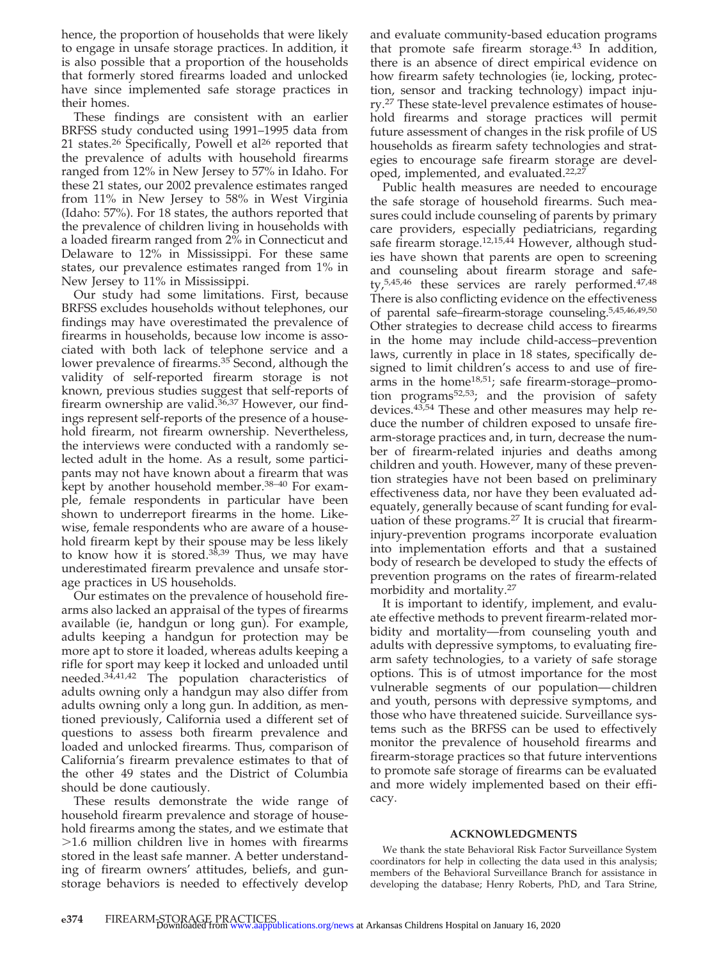hence, the proportion of households that were likely to engage in unsafe storage practices. In addition, it is also possible that a proportion of the households that formerly stored firearms loaded and unlocked have since implemented safe storage practices in their homes.

These findings are consistent with an earlier BRFSS study conducted using 1991–1995 data from 21 states.<sup>26</sup> Specifically, Powell et al<sup>26</sup> reported that the prevalence of adults with household firearms ranged from 12% in New Jersey to 57% in Idaho. For these 21 states, our 2002 prevalence estimates ranged from 11% in New Jersey to 58% in West Virginia (Idaho: 57%). For 18 states, the authors reported that the prevalence of children living in households with a loaded firearm ranged from 2% in Connecticut and Delaware to 12% in Mississippi. For these same states, our prevalence estimates ranged from 1% in New Jersey to 11% in Mississippi.

Our study had some limitations. First, because BRFSS excludes households without telephones, our findings may have overestimated the prevalence of firearms in households, because low income is associated with both lack of telephone service and a lower prevalence of firearms.<sup>35</sup> Second, although the validity of self-reported firearm storage is not known, previous studies suggest that self-reports of firearm ownership are valid.<sup>36,37</sup> However, our findings represent self-reports of the presence of a household firearm, not firearm ownership. Nevertheless, the interviews were conducted with a randomly selected adult in the home. As a result, some participants may not have known about a firearm that was kept by another household member.38–40 For example, female respondents in particular have been shown to underreport firearms in the home. Likewise, female respondents who are aware of a household firearm kept by their spouse may be less likely to know how it is stored.<sup>38,39</sup> Thus, we may have underestimated firearm prevalence and unsafe storage practices in US households.

Our estimates on the prevalence of household firearms also lacked an appraisal of the types of firearms available (ie, handgun or long gun). For example, adults keeping a handgun for protection may be more apt to store it loaded, whereas adults keeping a rifle for sport may keep it locked and unloaded until needed.34,41,42 The population characteristics of adults owning only a handgun may also differ from adults owning only a long gun. In addition, as mentioned previously, California used a different set of questions to assess both firearm prevalence and loaded and unlocked firearms. Thus, comparison of California's firearm prevalence estimates to that of the other 49 states and the District of Columbia should be done cautiously.

These results demonstrate the wide range of household firearm prevalence and storage of household firearms among the states, and we estimate that 1.6 million children live in homes with firearms stored in the least safe manner. A better understanding of firearm owners' attitudes, beliefs, and gunstorage behaviors is needed to effectively develop

and evaluate community-based education programs that promote safe firearm storage.<sup>43</sup> In addition, there is an absence of direct empirical evidence on how firearm safety technologies (ie, locking, protection, sensor and tracking technology) impact injury.27 These state-level prevalence estimates of household firearms and storage practices will permit future assessment of changes in the risk profile of US households as firearm safety technologies and strategies to encourage safe firearm storage are developed, implemented, and evaluated.22,27

Public health measures are needed to encourage the safe storage of household firearms. Such measures could include counseling of parents by primary care providers, especially pediatricians, regarding safe firearm storage.<sup>12,15,44</sup> However, although studies have shown that parents are open to screening and counseling about firearm storage and safety, $5,45,46$  these services are rarely performed. $47,48$ There is also conflicting evidence on the effectiveness of parental safe–firearm-storage counseling.5,45,46,49,50 Other strategies to decrease child access to firearms in the home may include child-access–prevention laws, currently in place in 18 states, specifically designed to limit children's access to and use of firearms in the home<sup>18,51</sup>; safe firearm-storage-promotion programs<sup>52,53</sup>; and the provision of safety devices.43,54 These and other measures may help reduce the number of children exposed to unsafe firearm-storage practices and, in turn, decrease the number of firearm-related injuries and deaths among children and youth. However, many of these prevention strategies have not been based on preliminary effectiveness data, nor have they been evaluated adequately, generally because of scant funding for evaluation of these programs.<sup>27</sup> It is crucial that firearminjury-prevention programs incorporate evaluation into implementation efforts and that a sustained body of research be developed to study the effects of prevention programs on the rates of firearm-related morbidity and mortality.27

It is important to identify, implement, and evaluate effective methods to prevent firearm-related morbidity and mortality—from counseling youth and adults with depressive symptoms, to evaluating firearm safety technologies, to a variety of safe storage options. This is of utmost importance for the most vulnerable segments of our population— children and youth, persons with depressive symptoms, and those who have threatened suicide. Surveillance systems such as the BRFSS can be used to effectively monitor the prevalence of household firearms and firearm-storage practices so that future interventions to promote safe storage of firearms can be evaluated and more widely implemented based on their efficacy.

#### **ACKNOWLEDGMENTS**

We thank the state Behavioral Risk Factor Surveillance System coordinators for help in collecting the data used in this analysis; members of the Behavioral Surveillance Branch for assistance in developing the database; Henry Roberts, PhD, and Tara Strine,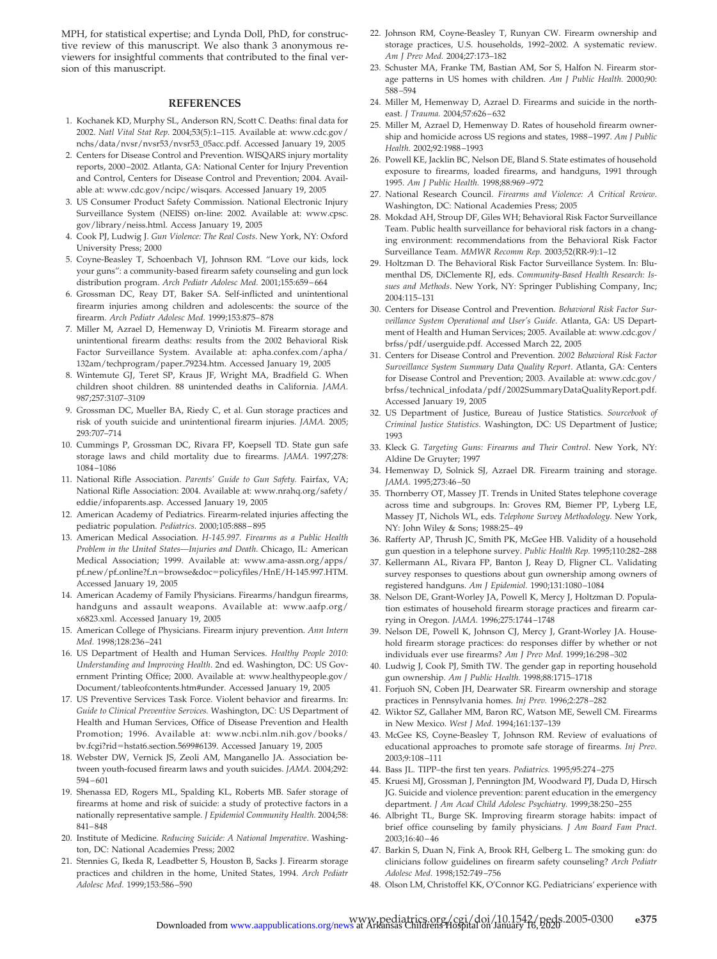MPH, for statistical expertise; and Lynda Doll, PhD, for constructive review of this manuscript. We also thank 3 anonymous reviewers for insightful comments that contributed to the final version of this manuscript.

#### **REFERENCES**

- 1. Kochanek KD, Murphy SL, Anderson RN, Scott C. Deaths: final data for 2002. *Natl Vital Stat Rep*. 2004;53(5):1–115. Available at: www.cdc.gov/ nchs/data/nvsr/nvsr53/nvsr53\_05acc.pdf. Accessed January 19, 2005
- 2. Centers for Disease Control and Prevention. WISQARS injury mortality reports, 2000 –2002. Atlanta, GA: National Center for Injury Prevention and Control, Centers for Disease Control and Prevention; 2004. Available at: www.cdc.gov/ncipc/wisqars. Accessed January 19, 2005
- 3. US Consumer Product Safety Commission. National Electronic Injury Surveillance System (NEISS) on-line: 2002. Available at: www.cpsc. gov/library/neiss.html. Access January 19, 2005
- 4. Cook PJ, Ludwig J. *Gun Violence: The Real Costs*. New York, NY: Oxford University Press; 2000
- 5. Coyne-Beasley T, Schoenbach VJ, Johnson RM. "Love our kids, lock your guns": a community-based firearm safety counseling and gun lock distribution program. *Arch Pediatr Adolesc Med.* 2001;155:659 – 664
- 6. Grossman DC, Reay DT, Baker SA. Self-inflicted and unintentional firearm injuries among children and adolescents: the source of the firearm. *Arch Pediatr Adolesc Med.* 1999;153:875– 878
- 7. Miller M, Azrael D, Hemenway D, Vriniotis M. Firearm storage and unintentional firearm deaths: results from the 2002 Behavioral Risk Factor Surveillance System. Available at: apha.confex.com/apha/ 132am/techprogram/paper79234.htm. Accessed January 19, 2005
- 8. Wintemute GJ, Teret SP, Kraus JF, Wright MA, Bradfield G. When children shoot children. 88 unintended deaths in California. *JAMA.* 987;257:3107–3109
- 9. Grossman DC, Mueller BA, Riedy C, et al. Gun storage practices and risk of youth suicide and unintentional firearm injuries. *JAMA.* 2005; 293:707–714
- 10. Cummings P, Grossman DC, Rivara FP, Koepsell TD. State gun safe storage laws and child mortality due to firearms. *JAMA.* 1997;278: 1084 –1086
- 11. National Rifle Association. *Parents' Guide to Gun Safety.* Fairfax, VA; National Rifle Association: 2004. Available at: www.nrahq.org/safety/ eddie/infoparents.asp. Accessed January 19, 2005
- 12. American Academy of Pediatrics. Firearm-related injuries affecting the pediatric population. *Pediatrics.* 2000;105:888 – 895
- 13. American Medical Association. *H-145.997. Firearms as a Public Health Problem in the United States—Injuries and Death.* Chicago, IL: American Medical Association; 1999. Available at: www.ama-assn.org/apps/ pf\_new/pf\_online?f\_n=browse&doc=policyfiles/HnE/H-145.997.HTM. Accessed January 19, 2005
- 14. American Academy of Family Physicians. Firearms/handgun firearms, handguns and assault weapons. Available at: www.aafp.org/ x6823.xml. Accessed January 19, 2005
- 15. American College of Physicians. Firearm injury prevention. *Ann Intern Med.* 1998;128:236 –241
- 16. US Department of Health and Human Services. *Healthy People 2010: Understanding and Improving Health*. 2nd ed. Washington, DC: US Government Printing Office; 2000. Available at: www.healthypeople.gov/ Document/tableofcontents.htm#under. Accessed January 19, 2005
- 17. US Preventive Services Task Force. Violent behavior and firearms. In: *Guide to Clinical Preventive Services.* Washington, DC: US Department of Health and Human Services, Office of Disease Prevention and Health Promotion; 1996. Available at: www.ncbi.nlm.nih.gov/books/ bv.fcgi?rid=hstat6.section.5699#6139. Accessed January 19, 2005
- 18. Webster DW, Vernick JS, Zeoli AM, Manganello JA. Association between youth-focused firearm laws and youth suicides. *JAMA.* 2004;292: 594 – 601
- 19. Shenassa ED, Rogers ML, Spalding KL, Roberts MB. Safer storage of firearms at home and risk of suicide: a study of protective factors in a nationally representative sample. *J Epidemiol Community Health.* 2004;58: 841– 848
- 20. Institute of Medicine. *Reducing Suicide: A National Imperative*. Washington, DC: National Academies Press; 2002
- 21. Stennies G, Ikeda R, Leadbetter S, Houston B, Sacks J. Firearm storage practices and children in the home, United States, 1994. *Arch Pediatr Adolesc Med.* 1999;153:586 –590
- 22. Johnson RM, Coyne-Beasley T, Runyan CW. Firearm ownership and storage practices, U.S. households, 1992–2002. A systematic review. *Am J Prev Med.* 2004;27:173–182
- 23. Schuster MA, Franke TM, Bastian AM, Sor S, Halfon N. Firearm storage patterns in US homes with children. *Am J Public Health.* 2000;90: 588 –594
- 24. Miller M, Hemenway D, Azrael D. Firearms and suicide in the northeast. *J Trauma.* 2004;57:626 – 632
- 25. Miller M, Azrael D, Hemenway D. Rates of household firearm ownership and homicide across US regions and states, 1988 –1997. *Am J Public Health.* 2002;92:1988 –1993
- 26. Powell KE, Jacklin BC, Nelson DE, Bland S. State estimates of household exposure to firearms, loaded firearms, and handguns, 1991 through 1995. *Am J Public Health.* 1998;88:969 –972
- 27. National Research Council. *Firearms and Violence: A Critical Review*. Washington, DC: National Academies Press; 2005
- 28. Mokdad AH, Stroup DF, Giles WH; Behavioral Risk Factor Surveillance Team. Public health surveillance for behavioral risk factors in a changing environment: recommendations from the Behavioral Risk Factor Surveillance Team. *MMWR Recomm Rep.* 2003;52(RR-9):1–12
- 29. Holtzman D. The Behavioral Risk Factor Surveillance System. In: Blumenthal DS, DiClemente RJ, eds. *Community-Based Health Research: Issues and Methods*. New York, NY: Springer Publishing Company, Inc; 2004:115–131
- 30. Centers for Disease Control and Prevention. *Behavioral Risk Factor Surveillance System Operational and User's Guide*. Atlanta, GA: US Department of Health and Human Services; 2005. Available at: www.cdc.gov/ brfss/pdf/userguide.pdf. Accessed March 22, 2005
- 31. Centers for Disease Control and Prevention. *2002 Behavioral Risk Factor Surveillance System Summary Data Quality Report*. Atlanta, GA: Centers for Disease Control and Prevention; 2003. Available at: www.cdc.gov/ brfss/technical\_infodata/pdf/2002SummaryDataQualityReport.pdf. Accessed January 19, 2005
- 32. US Department of Justice, Bureau of Justice Statistics. *Sourcebook of Criminal Justice Statistics*. Washington, DC: US Department of Justice; 1993
- 33. Kleck G. *Targeting Guns: Firearms and Their Control*. New York, NY: Aldine De Gruyter; 1997
- 34. Hemenway D, Solnick SJ, Azrael DR. Firearm training and storage. *JAMA.* 1995;273:46 –50
- 35. Thornberry OT, Massey JT. Trends in United States telephone coverage across time and subgroups. In: Groves RM, Biemer PP, Lyberg LE, Massey JT, Nichols WL, eds. *Telephone Survey Methodology*. New York, NY: John Wiley & Sons; 1988:25– 49
- 36. Rafferty AP, Thrush JC, Smith PK, McGee HB. Validity of a household gun question in a telephone survey. *Public Health Rep.* 1995;110:282–288
- 37. Kellermann AL, Rivara FP, Banton J, Reay D, Fligner CL. Validating survey responses to questions about gun ownership among owners of registered handguns. *Am J Epidemiol.* 1990;131:1080 –1084
- 38. Nelson DE, Grant-Worley JA, Powell K, Mercy J, Holtzman D. Population estimates of household firearm storage practices and firearm carrying in Oregon. *JAMA.* 1996;275:1744 –1748
- 39. Nelson DE, Powell K, Johnson CJ, Mercy J, Grant-Worley JA. Household firearm storage practices: do responses differ by whether or not individuals ever use firearms? *Am J Prev Med.* 1999;16:298 –302
- 40. Ludwig J, Cook PJ, Smith TW. The gender gap in reporting household gun ownership. *Am J Public Health.* 1998;88:1715–1718
- 41. Forjuoh SN, Coben JH, Dearwater SR. Firearm ownership and storage practices in Pennsylvania homes. *Inj Prev.* 1996;2:278 –282
- 42. Wiktor SZ, Gallaher MM, Baron RC, Watson ME, Sewell CM. Firearms in New Mexico. *West J Med.* 1994;161:137–139
- 43. McGee KS, Coyne-Beasley T, Johnson RM. Review of evaluations of educational approaches to promote safe storage of firearms. *Inj Prev.* 2003;9:108 –111
- 44. Bass JL. TIPP–the first ten years. *Pediatrics.* 1995;95:274 –275
- 45. Kruesi MJ, Grossman J, Pennington JM, Woodward PJ, Duda D, Hirsch JG. Suicide and violence prevention: parent education in the emergency department. *J Am Acad Child Adolesc Psychiatry.* 1999;38:250 –255
- 46. Albright TL, Burge SK. Improving firearm storage habits: impact of brief office counseling by family physicians. *J Am Board Fam Pract.* 2003;16:40 – 46
- 47. Barkin S, Duan N, Fink A, Brook RH, Gelberg L. The smoking gun: do clinicians follow guidelines on firearm safety counseling? *Arch Pediatr Adolesc Med.* 1998;152:749 –756
- 48. Olson LM, Christoffel KK, O'Connor KG. Pediatricians' experience with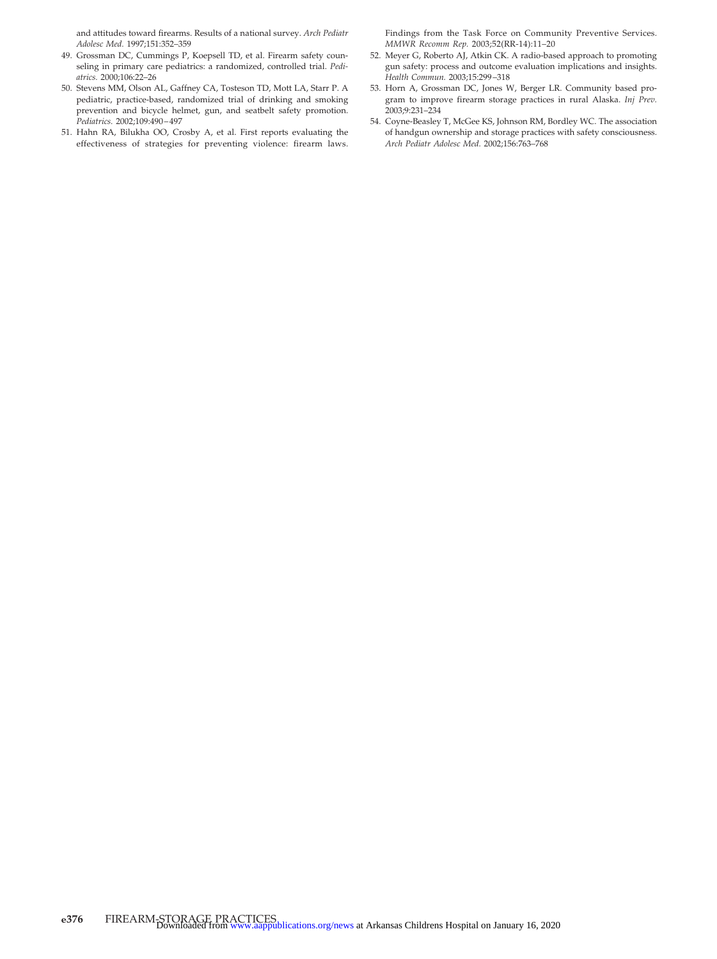and attitudes toward firearms. Results of a national survey. *Arch Pediatr Adolesc Med.* 1997;151:352–359

- 49. Grossman DC, Cummings P, Koepsell TD, et al. Firearm safety counseling in primary care pediatrics: a randomized, controlled trial. *Pediatrics.* 2000;106:22–26
- 50. Stevens MM, Olson AL, Gaffney CA, Tosteson TD, Mott LA, Starr P. A pediatric, practice-based, randomized trial of drinking and smoking prevention and bicycle helmet, gun, and seatbelt safety promotion. *Pediatrics.* 2002;109:490 – 497
- 51. Hahn RA, Bilukha OO, Crosby A, et al. First reports evaluating the effectiveness of strategies for preventing violence: firearm laws.

Findings from the Task Force on Community Preventive Services. *MMWR Recomm Rep.* 2003;52(RR-14):11–20

- 52. Meyer G, Roberto AJ, Atkin CK. A radio-based approach to promoting gun safety: process and outcome evaluation implications and insights. *Health Commun.* 2003;15:299 –318
- 53. Horn A, Grossman DC, Jones W, Berger LR. Community based program to improve firearm storage practices in rural Alaska. *Inj Prev.* 2003;9:231–234
- 54. Coyne-Beasley T, McGee KS, Johnson RM, Bordley WC. The association of handgun ownership and storage practices with safety consciousness. *Arch Pediatr Adolesc Med.* 2002;156:763–768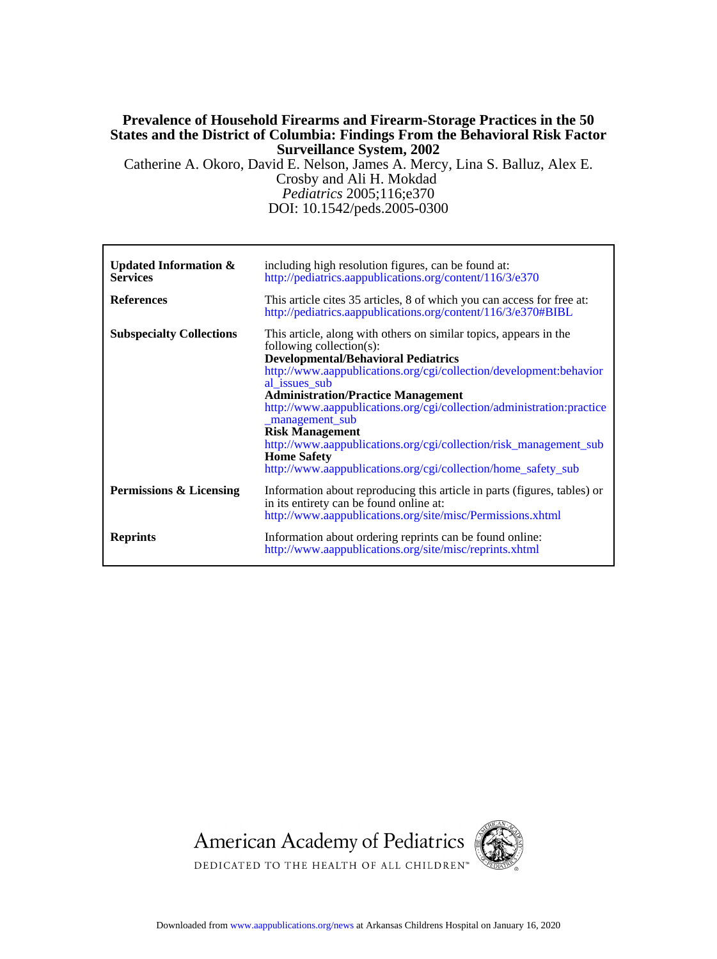### **Surveillance System, 2002 States and the District of Columbia: Findings From the Behavioral Risk Factor Prevalence of Household Firearms and Firearm-Storage Practices in the 50**

Crosby and Ali H. Mokdad Catherine A. Okoro, David E. Nelson, James A. Mercy, Lina S. Balluz, Alex E.

DOI: 10.1542/peds.2005-0300 *Pediatrics* 2005;116;e370

| Updated Information $\&$<br><b>Services</b> | including high resolution figures, can be found at:<br>http://pediatrics.aappublications.org/content/116/3/e370                                                                                                                                                                                                                                                                                                                                                                                                                                                   |
|---------------------------------------------|-------------------------------------------------------------------------------------------------------------------------------------------------------------------------------------------------------------------------------------------------------------------------------------------------------------------------------------------------------------------------------------------------------------------------------------------------------------------------------------------------------------------------------------------------------------------|
| <b>References</b>                           | This article cites 35 articles, 8 of which you can access for free at:<br>http://pediatrics.aappublications.org/content/116/3/e370#BIBL                                                                                                                                                                                                                                                                                                                                                                                                                           |
| <b>Subspecialty Collections</b>             | This article, along with others on similar topics, appears in the<br>following collection(s):<br><b>Developmental/Behavioral Pediatrics</b><br>http://www.aappublications.org/cgi/collection/development:behavior<br>al issues sub<br><b>Administration/Practice Management</b><br>http://www.aappublications.org/cgi/collection/administration:practice<br>_management_sub<br><b>Risk Management</b><br>http://www.aappublications.org/cgi/collection/risk_management_sub<br><b>Home Safety</b><br>http://www.aappublications.org/cgi/collection/home_safety_sub |
| Permissions & Licensing                     | Information about reproducing this article in parts (figures, tables) or<br>in its entirety can be found online at:<br>http://www.aappublications.org/site/misc/Permissions.xhtml                                                                                                                                                                                                                                                                                                                                                                                 |
| <b>Reprints</b>                             | Information about ordering reprints can be found online:<br>http://www.aappublications.org/site/misc/reprints.xhtml                                                                                                                                                                                                                                                                                                                                                                                                                                               |